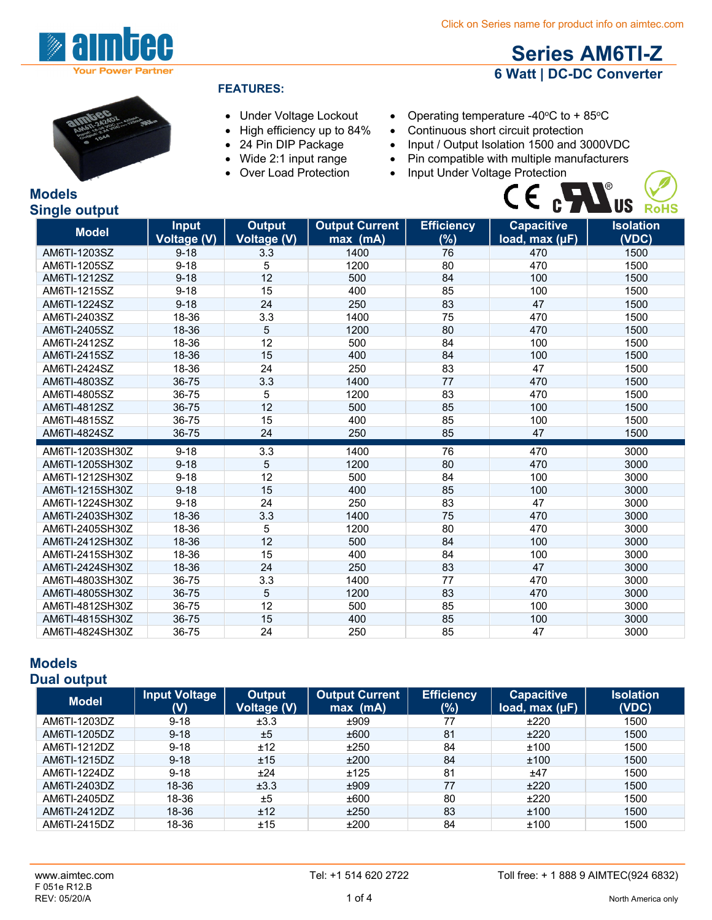**Series AM6TI-Z 6 Watt | DC-DC Converter**



### **FEATURES:**

- Under Voltage Lockout
- High efficiency up to 84%
- 
- Wide 2:1 input range
- Over Load Protection
- Operating temperature -40 $\degree$ C to +85 $\degree$ C
- Continuous short circuit protection
- 24 Pin DIP Package Input / Output Isolation 1500 and 3000VDC
	- Pin compatible with multiple manufacturers
		-



### **Models Single output**

| <b>Model</b>    | <b>Input</b>       | <b>Output</b>      | <b>Output Current</b> | <b>Efficiency</b> | <b>Capacitive</b> | <b>Isolation</b> |
|-----------------|--------------------|--------------------|-----------------------|-------------------|-------------------|------------------|
|                 | <b>Voltage (V)</b> | <b>Voltage (V)</b> | max (mA)              | (%)               | load, max (µF)    | (VDC)            |
| AM6TI-1203SZ    | $9 - 18$           | 3.3                | 1400                  | 76                | 470               | 1500             |
| AM6TI-1205SZ    | $9 - 18$           | 5                  | 1200                  | 80                | 470               | 1500             |
| AM6TI-1212SZ    | $9 - 18$           | 12                 | 500                   | 84                | 100               | 1500             |
| AM6TI-1215SZ    | $9 - 18$           | 15                 | 400                   | 85                | 100               | 1500             |
| AM6TI-1224SZ    | $9 - 18$           | 24                 | 250                   | 83                | 47                | 1500             |
| AM6TI-2403SZ    | 18-36              | 3.3                | 1400                  | 75                | 470               | 1500             |
| AM6TI-2405SZ    | 18-36              | 5                  | 1200                  | 80                | 470               | 1500             |
| AM6TI-2412SZ    | 18-36              | 12                 | 500                   | 84                | 100               | 1500             |
| AM6TI-2415SZ    | 18-36              | 15                 | 400                   | 84                | 100               | 1500             |
| AM6TI-2424SZ    | 18-36              | 24                 | 250                   | 83                | 47                | 1500             |
| AM6TI-4803SZ    | 36-75              | 3.3                | 1400                  | 77                | 470               | 1500             |
| AM6TI-4805SZ    | 36-75              | 5                  | 1200                  | 83                | 470               | 1500             |
| AM6TI-4812SZ    | 36-75              | 12                 | 500                   | 85                | 100               | 1500             |
| AM6TI-4815SZ    | 36-75              | 15                 | 400                   | 85                | 100               | 1500             |
| AM6TI-4824SZ    | 36-75              | 24                 | 250                   | 85                | 47                | 1500             |
| AM6TI-1203SH30Z | $9 - 18$           | 3.3                | 1400                  | 76                | 470               | 3000             |
| AM6TI-1205SH30Z | $9 - 18$           | 5                  | 1200                  | 80                | 470               | 3000             |
| AM6TI-1212SH30Z | $9 - 18$           | 12                 | 500                   | 84                | 100               | 3000             |
| AM6TI-1215SH30Z | $9 - 18$           | 15                 | 400                   | 85                | 100               | 3000             |
| AM6TI-1224SH30Z | $9 - 18$           | 24                 | 250                   | 83                | 47                | 3000             |
| AM6TI-2403SH30Z | 18-36              | 3.3                | 1400                  | 75                | 470               | 3000             |
| AM6TI-2405SH30Z | 18-36              | 5                  | 1200                  | 80                | 470               | 3000             |
| AM6TI-2412SH30Z | 18-36              | 12                 | 500                   | 84                | 100               | 3000             |
| AM6TI-2415SH30Z | 18-36              | 15                 | 400                   | 84                | 100               | 3000             |
| AM6TI-2424SH30Z | 18-36              | 24                 | 250                   | 83                | 47                | 3000             |
| AM6TI-4803SH30Z | 36-75              | 3.3                | 1400                  | 77                | 470               | 3000             |
| AM6TI-4805SH30Z | 36-75              | 5                  | 1200                  | 83                | 470               | 3000             |
| AM6TI-4812SH30Z | 36-75              | 12                 | 500                   | 85                | 100               | 3000             |
| AM6TI-4815SH30Z | 36-75              | 15                 | 400                   | 85                | 100               | 3000             |
| AM6TI-4824SH30Z | 36-75              | 24                 | 250                   | 85                | 47                | 3000             |

#### **Models Dual output**

| <b>Model</b> | <b>Input Voltage</b><br>(V) | Output<br><b>Voltage (V)</b> | <b>Output Current</b><br>$max$ (mA) | <b>Efficiency</b><br>$(\%)$ | <b>Capacitive</b><br>load, $max (µF)$ | <b>Isolation</b><br>(VDC) |
|--------------|-----------------------------|------------------------------|-------------------------------------|-----------------------------|---------------------------------------|---------------------------|
| AM6TI-1203DZ | $9 - 18$                    | ±3.3                         | ±909                                | 77                          | ±220                                  | 1500                      |
| AM6TI-1205DZ | $9 - 18$                    | ±5                           | ±600                                | 81                          | ±220                                  | 1500                      |
| AM6TI-1212DZ | $9 - 18$                    | ±12                          | ±250                                | 84                          | ±100                                  | 1500                      |
| AM6TI-1215DZ | $9 - 18$                    | ±15                          | ±200                                | 84                          | ±100                                  | 1500                      |
| AM6TI-1224DZ | $9 - 18$                    | ±24                          | ±125                                | 81                          | ±47                                   | 1500                      |
| AM6TI-2403DZ | 18-36                       | ±3.3                         | ±909                                | 77                          | ±220                                  | 1500                      |
| AM6TI-2405DZ | 18-36                       | ±5                           | ±600                                | 80                          | ±220                                  | 1500                      |
| AM6TI-2412DZ | 18-36                       | ±12                          | ±250                                | 83                          | ±100                                  | 1500                      |
| AM6TI-2415DZ | 18-36                       | ±15                          | ±200                                | 84                          | ±100                                  | 1500                      |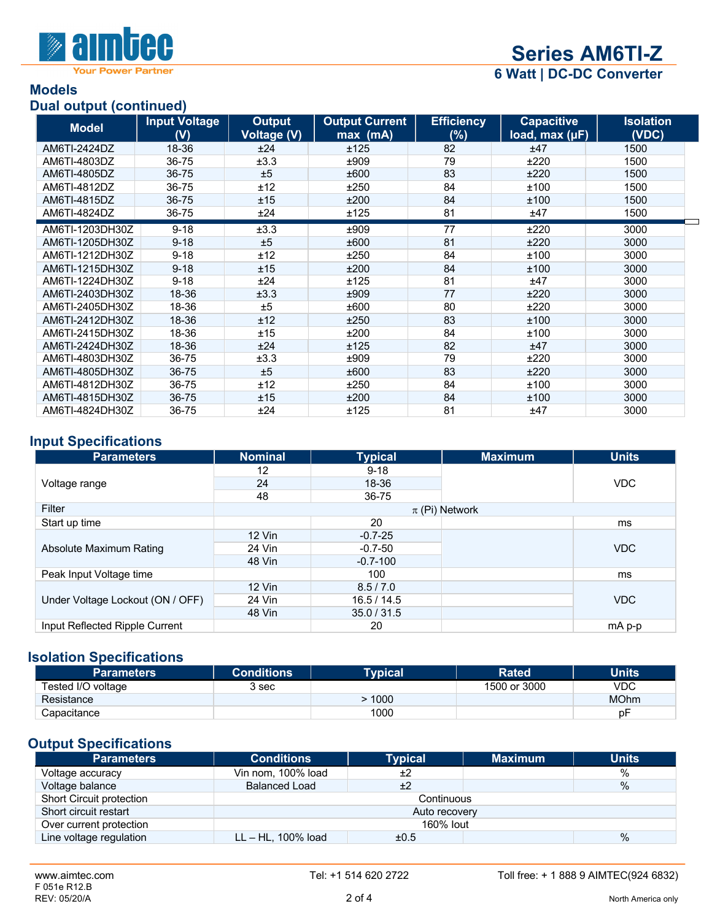

**Your Power Partner** 

# **Series AM6TI-Z**

**6 Watt | DC-DC Converter**

### **Models Dual output (continued)**

| $=$ 0.000 $\le$ 0.000 $\le$ 0.000 $\le$ 0.000 $\le$<br><b>Model</b> | <b>Input Voltage</b><br>(V) | <b>Output</b><br><b>Voltage (V)</b> | <b>Output Current</b><br>$max$ (mA) | <b>Efficiency</b><br>(%) | <b>Capacitive</b><br>load, max $(\mu F)$ | <b>Isolation</b><br>(VDC) |
|---------------------------------------------------------------------|-----------------------------|-------------------------------------|-------------------------------------|--------------------------|------------------------------------------|---------------------------|
| AM6TI-2424DZ                                                        | 18-36                       | ±24                                 | ±125                                | 82                       | ±47                                      | 1500                      |
| AM6TI-4803DZ                                                        | 36-75                       | ±3.3                                | ±909                                | 79                       | ±220                                     | 1500                      |
| AM6TI-4805DZ                                                        | 36-75                       | ±5                                  | ±600                                | 83                       | ±220                                     | 1500                      |
| AM6TI-4812DZ                                                        | 36-75                       | ±12                                 | ±250                                | 84                       | ±100                                     | 1500                      |
| AM6TI-4815DZ                                                        | 36-75                       | ±15                                 | ±200                                | 84                       | ±100                                     | 1500                      |
| AM6TI-4824DZ                                                        | 36-75                       | ±24                                 | ±125                                | 81                       | ±47                                      | 1500                      |
| AM6TI-1203DH30Z                                                     | $9 - 18$                    | ±3.3                                | ±909                                | 77                       | ±220                                     | 3000                      |
| AM6TI-1205DH30Z                                                     | $9 - 18$                    | ±5                                  | ±600                                | 81                       | ±220                                     | 3000                      |
| AM6TI-1212DH30Z                                                     | $9 - 18$                    | ±12                                 | ±250                                | 84                       | ±100                                     | 3000                      |
| AM6TI-1215DH30Z                                                     | $9 - 18$                    | ±15                                 | ±200                                | 84                       | ±100                                     | 3000                      |
| AM6TI-1224DH30Z                                                     | $9 - 18$                    | ±24                                 | ±125                                | 81                       | ±47                                      | 3000                      |
| AM6TI-2403DH30Z                                                     | 18-36                       | ±3.3                                | ±909                                | 77                       | ±220                                     | 3000                      |
| AM6TI-2405DH30Z                                                     | 18-36                       | ±5                                  | ±600                                | 80                       | ±220                                     | 3000                      |
| AM6TI-2412DH30Z                                                     | 18-36                       | ±12                                 | ±250                                | 83                       | ±100                                     | 3000                      |
| AM6TI-2415DH30Z                                                     | 18-36                       | ±15                                 | ±200                                | 84                       | ±100                                     | 3000                      |
| AM6TI-2424DH30Z                                                     | 18-36                       | ±24                                 | ±125                                | 82                       | ±47                                      | 3000                      |
| AM6TI-4803DH30Z                                                     | 36-75                       | ±3.3                                | ±909                                | 79                       | ±220                                     | 3000                      |
| AM6TI-4805DH30Z                                                     | 36-75                       | ±5                                  | ±600                                | 83                       | ±220                                     | 3000                      |
| AM6TI-4812DH30Z                                                     | 36-75                       | ±12                                 | ±250                                | 84                       | ±100                                     | 3000                      |
| AM6TI-4815DH30Z                                                     | 36-75                       | ±15                                 | ±200                                | 84                       | ±100                                     | 3000                      |
| AM6TI-4824DH30Z                                                     | 36-75                       | ±24                                 | ±125                                | 81                       | ±47                                      | 3000                      |

## **Input Specifications**

| <b>Parameters</b>                | <b>Nominal</b> | <b>Typical</b> | <b>Maximum</b>     | <b>Units</b> |
|----------------------------------|----------------|----------------|--------------------|--------------|
|                                  | 12             | $9 - 18$       |                    |              |
| Voltage range                    | 24             | 18-36          |                    | <b>VDC</b>   |
|                                  | 48             | 36-75          |                    |              |
| Filter                           |                |                | $\pi$ (Pi) Network |              |
| Start up time                    |                | 20             |                    | ms           |
|                                  | 12 Vin         | $-0.7 - 25$    |                    |              |
| Absolute Maximum Rating          | 24 Vin         | $-0.7-50$      |                    | <b>VDC</b>   |
|                                  | 48 Vin         | $-0.7-100$     |                    |              |
| Peak Input Voltage time          |                | 100            |                    | ms           |
| Under Voltage Lockout (ON / OFF) | $12$ Vin       | 8.5 / 7.0      |                    |              |
|                                  | 24 Vin         | 16.5/14.5      |                    | <b>VDC</b>   |
|                                  | 48 Vin         | 35.0 / 31.5    |                    |              |
| Input Reflected Ripple Current   |                | 20             |                    | mA p-p       |

### **Isolation Specifications**

| Parameters         | <b>Conditions</b> | <b>Typical</b> | <b>Rated</b> | Units       |
|--------------------|-------------------|----------------|--------------|-------------|
| Tested I/O voltage | 3 <sub>sec</sub>  |                | 1500 or 3000 | VDC         |
| Resistance         |                   | 1000           |              | <b>MOhm</b> |
| Capacitance        |                   | 1000           |              | рF          |

# **Output Specifications**

| <b>Parameters</b>        | <b>Conditions</b>     | <b>Typical</b> | <b>Maximum</b> | <b>Units</b> |  |
|--------------------------|-----------------------|----------------|----------------|--------------|--|
| Voltage accuracy         | Vin nom, 100% load    | ±2             |                | %            |  |
| Voltage balance          | <b>Balanced Load</b>  | ±2             |                | $\%$         |  |
| Short Circuit protection | Continuous            |                |                |              |  |
| Short circuit restart    | Auto recovery         |                |                |              |  |
| Over current protection  | 160% lout             |                |                |              |  |
| Line voltage regulation  | $LL - HL$ , 100% load | ±0.5           |                | $\%$         |  |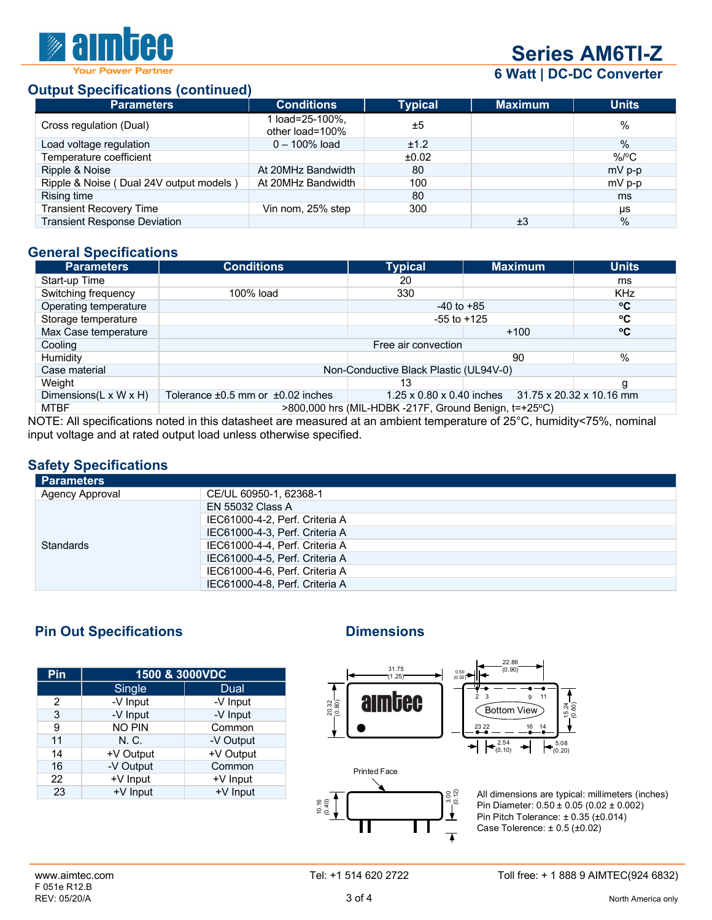

# **Series AM6TI-Z**

**6 Watt | DC-DC Converter**

### **Output Specifications (continued)**

| <b>Parameters</b>                       | <b>Conditions</b>                  | <b>Typical</b> | <b>Maximum</b> | <b>Units</b>  |
|-----------------------------------------|------------------------------------|----------------|----------------|---------------|
| Cross regulation (Dual)                 | 1 load=25-100%,<br>other load=100% | ±5             |                | %             |
| Load voltage regulation                 | $0 - 100\%$ load                   | ±1.2           |                | $\%$          |
| Temperature coefficient                 |                                    | ±0.02          |                | $\%$ /°C      |
| Ripple & Noise                          | At 20MHz Bandwidth                 | 80             |                | mV p-p        |
| Ripple & Noise (Dual 24V output models) | At 20MHz Bandwidth                 | 100            |                | mV p-p        |
| Rising time                             |                                    | 80             |                | ms            |
| <b>Transient Recovery Time</b>          | Vin nom, 25% step                  | 300            |                | μs            |
| <b>Transient Response Deviation</b>     |                                    |                | ±3             | $\frac{0}{0}$ |

### **General Specifications**

| <b>Parameters</b>                   | <b>Conditions</b>                                                                                                         | <b>Typical</b> | <b>Maximum</b> | <b>Units</b> |  |
|-------------------------------------|---------------------------------------------------------------------------------------------------------------------------|----------------|----------------|--------------|--|
| Start-up Time                       |                                                                                                                           | 20             |                | ms           |  |
| Switching frequency                 | 100% load                                                                                                                 | 330            |                | <b>KHz</b>   |  |
| Operating temperature               |                                                                                                                           | $-40$ to $+85$ |                | °C           |  |
| Storage temperature                 | ۰c<br>$-55$ to $+125$                                                                                                     |                |                |              |  |
| Max Case temperature                |                                                                                                                           |                | $+100$         | °C           |  |
| Cooling                             | Free air convection                                                                                                       |                |                |              |  |
| Humidity                            |                                                                                                                           |                | 90             | %            |  |
| Case material                       | Non-Conductive Black Plastic (UL94V-0)                                                                                    |                |                |              |  |
| Weight                              |                                                                                                                           | 13             |                | g            |  |
| Dimensions( $L \times W \times H$ ) | $1.25 \times 0.80 \times 0.40$ inches $31.75 \times 20.32 \times 10.16$ mm<br>Tolerance $\pm 0.5$ mm or $\pm 0.02$ inches |                |                |              |  |
| <b>MTBF</b>                         | >800,000 hrs (MIL-HDBK -217F, Ground Benign, t=+25°C)                                                                     |                |                |              |  |

NOTE: All specifications noted in this datasheet are measured at an ambient temperature of 25°C, humidity<75%, nominal input voltage and at rated output load unless otherwise specified.

### **Safety Specifications**

| <b>Parameters</b> |                                |
|-------------------|--------------------------------|
| Agency Approval   | CE/UL 60950-1, 62368-1         |
|                   | <b>EN 55032 Class A</b>        |
|                   | IEC61000-4-2, Perf. Criteria A |
|                   | IEC61000-4-3, Perf. Criteria A |
| <b>Standards</b>  | IEC61000-4-4, Perf. Criteria A |
|                   | IEC61000-4-5, Perf. Criteria A |
|                   | IEC61000-4-6, Perf. Criteria A |
|                   | IEC61000-4-8, Perf. Criteria A |

# **Pin Out Specifications Dimensions**

| Pin | 1500 & 3000VDC |           |  |  |  |
|-----|----------------|-----------|--|--|--|
|     | Single         | Dual      |  |  |  |
| 2   | -V Input       | -V Input  |  |  |  |
| 3   | -V Input       | -V Input  |  |  |  |
| 9   | <b>NO PIN</b>  | Common    |  |  |  |
| 11  | N. C.          | -V Output |  |  |  |
| 14  | +V Output      | +V Output |  |  |  |
| 16  | -V Output      | Common    |  |  |  |
| 22  | +V Input       | +V Input  |  |  |  |
| 23  | +V Input       | +V Input  |  |  |  |



Printed Face  $\begin{picture}(180,17)(-3.00) \put(0,0){\line(1,0){15}} \put(1,0){\line(1,0){15}} \put(1,0){\line(1,0){15}} \put(1,0){\line(1,0){15}} \put(1,0){\line(1,0){15}} \put(1,0){\line(1,0){15}} \put(1,0){\line(1,0){15}} \put(1,0){\line(1,0){15}} \put(1,0){\line(1,0){15}} \put(1,0){\line(1,0){15}} \put(1,0){\line(1,0){15}} \put(1,0){\line(1,0){1$ 10.16 (0.40)  $\overline{\blacktriangle}$ 

All dimensions are typical: millimeters (inches) Pin Diameter: 0.50 ± 0.05 (0.02 ± 0.002) Pin Pitch Tolerance: ± 0.35 (±0.014) Case Tolerence: ± 0.5 (±0.02)